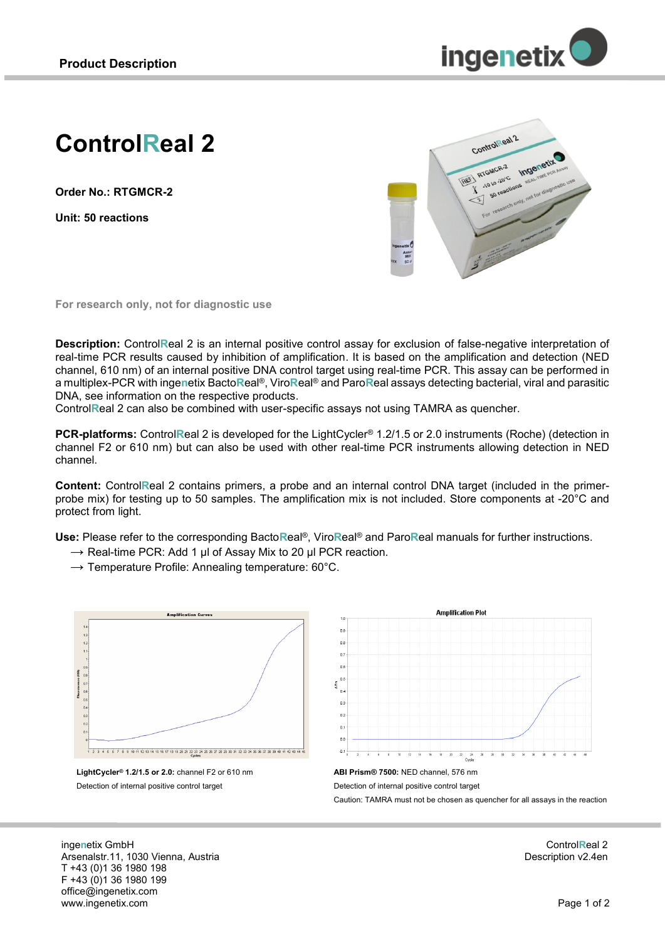

# **ControlReal 2**

**Order No.: RTGMCR-2**

**Unit: 50 reactions**



**For research only, not for diagnostic use**

**Description:** Control**R**eal 2 is an internal positive control assay for exclusion of false-negative interpretation of real-time PCR results caused by inhibition of amplification. It is based on the amplification and detection (NED channel, 610 nm) of an internal positive DNA control target using real-time PCR. This assay can be performed in a multiplex-PCR with inge**n**etix Bacto**R**eal®, Viro**R**eal® and Paro**R**eal assays detecting bacterial, viral and parasitic DNA, see information on the respective products.

Control**R**eal 2 can also be combined with user-specific assays not using TAMRA as quencher.

**PCR-platforms:** Control**R**eal 2 is developed for the LightCycler® 1.2/1.5 or 2.0 instruments (Roche) (detection in channel F2 or 610 nm) but can also be used with other real-time PCR instruments allowing detection in NED channel.

**Content:** Control**R**eal 2 contains primers, a probe and an internal control DNA target (included in the primerprobe mix) for testing up to 50 samples. The amplification mix is not included. Store components at -20°C and protect from light.

**Use:** Please refer to the corresponding Bacto**R**eal®, Viro**R**eal® and Paro**R**eal manuals for further instructions.

- $\rightarrow$  Real-time PCR: Add 1 ul of Assay Mix to 20 ul PCR reaction.
- $\rightarrow$  Temperature Profile: Annealing temperature: 60 $^{\circ}$ C.



**LightCycler® 1.2/1.5 or 2.0:** channel F2 or 610 nm Detection of internal positive control target





inge**n**etix GmbH Arsenalstr.11, 1030 Vienna, Austria T +43 (0)1 36 1980 198 F +43 (0)1 36 1980 199 office@ingenetix.com www.ingenetix.com

Control**R**eal 2 Description v2.4en